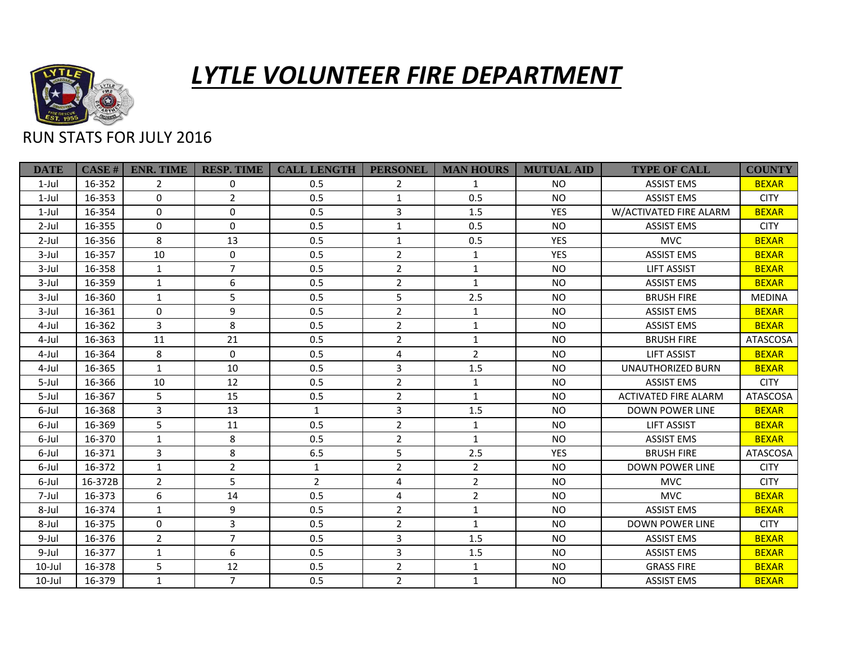

## *LYTLE VOLUNTEER FIRE DEPARTMENT*

## RUN STATS FOR JULY 2016

| <b>DATE</b> | CASE H  | <b>ENR. TIME</b> | <b>RESP. TIME</b> | <b>CALL LENGTH</b> | <b>PERSONEL</b> | <b>MAN HOURS</b> | <b>MUTUAL AID</b> | <b>TYPE OF CALL</b>         | <b>COUNTY</b> |
|-------------|---------|------------------|-------------------|--------------------|-----------------|------------------|-------------------|-----------------------------|---------------|
| $1$ -Jul    | 16-352  | 2                | 0                 | 0.5                | 2               | $\mathbf{1}$     | <b>NO</b>         | <b>ASSIST EMS</b>           | <b>BEXAR</b>  |
| $1$ -Jul    | 16-353  | $\Omega$         | $\overline{2}$    | 0.5                | $\mathbf{1}$    | 0.5              | <b>NO</b>         | <b>ASSIST EMS</b>           | <b>CITY</b>   |
| $1$ -Jul    | 16-354  | $\Omega$         | $\mathbf 0$       | 0.5                | $\overline{3}$  | 1.5              | <b>YES</b>        | W/ACTIVATED FIRE ALARM      | <b>BEXAR</b>  |
| $2$ -Jul    | 16-355  | 0                | $\mathbf 0$       | 0.5                | $\mathbf{1}$    | 0.5              | <b>NO</b>         | <b>ASSIST EMS</b>           | <b>CITY</b>   |
| $2$ -Jul    | 16-356  | 8                | 13                | 0.5                | $\mathbf{1}$    | 0.5              | <b>YES</b>        | <b>MVC</b>                  | <b>BEXAR</b>  |
| $3$ -Jul    | 16-357  | 10               | $\mathbf 0$       | 0.5                | $\overline{2}$  | $\mathbf{1}$     | <b>YES</b>        | <b>ASSIST EMS</b>           | <b>BEXAR</b>  |
| $3$ -Jul    | 16-358  | $\mathbf{1}$     | $\overline{7}$    | 0.5                | $\overline{2}$  | $\mathbf{1}$     | <b>NO</b>         | <b>LIFT ASSIST</b>          | <b>BEXAR</b>  |
| 3-Jul       | 16-359  | $\mathbf{1}$     | 6                 | 0.5                | $\overline{2}$  | $\mathbf{1}$     | <b>NO</b>         | <b>ASSIST EMS</b>           | <b>BEXAR</b>  |
| 3-Jul       | 16-360  | $\mathbf{1}$     | 5                 | 0.5                | 5               | 2.5              | <b>NO</b>         | <b>BRUSH FIRE</b>           | <b>MEDINA</b> |
| 3-Jul       | 16-361  | $\Omega$         | 9                 | 0.5                | $\overline{2}$  | $\mathbf{1}$     | <b>NO</b>         | <b>ASSIST EMS</b>           | <b>BEXAR</b>  |
| 4-Jul       | 16-362  | 3                | 8                 | 0.5                | $\overline{2}$  | $\mathbf{1}$     | <b>NO</b>         | <b>ASSIST EMS</b>           | <b>BEXAR</b>  |
| 4-Jul       | 16-363  | 11               | 21                | 0.5                | $\overline{2}$  | $\mathbf{1}$     | <b>NO</b>         | <b>BRUSH FIRE</b>           | ATASCOSA      |
| 4-Jul       | 16-364  | 8                | $\mathbf{0}$      | 0.5                | 4               | $\overline{2}$   | <b>NO</b>         | <b>LIFT ASSIST</b>          | <b>BEXAR</b>  |
| 4-Jul       | 16-365  | $\mathbf{1}$     | 10                | 0.5                | $\overline{3}$  | 1.5              | <b>NO</b>         | <b>UNAUTHORIZED BURN</b>    | <b>BEXAR</b>  |
| 5-Jul       | 16-366  | 10               | 12                | 0.5                | $\overline{2}$  | $\mathbf{1}$     | <b>NO</b>         | <b>ASSIST EMS</b>           | <b>CITY</b>   |
| 5-Jul       | 16-367  | 5                | 15                | 0.5                | $\overline{2}$  | $\mathbf{1}$     | <b>NO</b>         | <b>ACTIVATED FIRE ALARM</b> | ATASCOSA      |
| 6-Jul       | 16-368  | 3                | 13                | $\mathbf{1}$       | 3               | 1.5              | <b>NO</b>         | DOWN POWER LINE             | <b>BEXAR</b>  |
| 6-Jul       | 16-369  | 5                | 11                | 0.5                | $\overline{2}$  | $\mathbf{1}$     | <b>NO</b>         | <b>LIFT ASSIST</b>          | <b>BEXAR</b>  |
| 6-Jul       | 16-370  | $\mathbf{1}$     | 8                 | 0.5                | $\overline{2}$  | $\mathbf{1}$     | <b>NO</b>         | <b>ASSIST EMS</b>           | <b>BEXAR</b>  |
| 6-Jul       | 16-371  | 3                | 8                 | 6.5                | 5               | 2.5              | YES               | <b>BRUSH FIRE</b>           | ATASCOSA      |
| 6-Jul       | 16-372  | $\mathbf{1}$     | $\overline{2}$    | 1                  | $\overline{2}$  | $\overline{2}$   | <b>NO</b>         | <b>DOWN POWER LINE</b>      | <b>CITY</b>   |
| 6-Jul       | 16-372B | $\overline{2}$   | 5                 | $\overline{2}$     | 4               | $\overline{2}$   | <b>NO</b>         | <b>MVC</b>                  | <b>CITY</b>   |
| 7-Jul       | 16-373  | 6                | 14                | 0.5                | 4               | $\overline{2}$   | <b>NO</b>         | <b>MVC</b>                  | <b>BEXAR</b>  |
| 8-Jul       | 16-374  | $\mathbf{1}$     | 9                 | 0.5                | $\overline{2}$  | $\mathbf{1}$     | <b>NO</b>         | <b>ASSIST EMS</b>           | <b>BEXAR</b>  |
| 8-Jul       | 16-375  | $\Omega$         | 3                 | 0.5                | $\overline{2}$  | $\mathbf{1}$     | <b>NO</b>         | <b>DOWN POWER LINE</b>      | <b>CITY</b>   |
| 9-Jul       | 16-376  | $\overline{2}$   | $\overline{7}$    | 0.5                | 3               | 1.5              | <b>NO</b>         | <b>ASSIST EMS</b>           | <b>BEXAR</b>  |
| 9-Jul       | 16-377  | $\mathbf{1}$     | 6                 | 0.5                | $\mathsf{3}$    | 1.5              | <b>NO</b>         | <b>ASSIST EMS</b>           | <b>BEXAR</b>  |
| $10$ -Jul   | 16-378  | 5                | 12                | 0.5                | $\overline{2}$  | $\mathbf{1}$     | <b>NO</b>         | <b>GRASS FIRE</b>           | <b>BEXAR</b>  |
| $10$ -Jul   | 16-379  | $\mathbf{1}$     | $\overline{7}$    | 0.5                | $\overline{2}$  | $\mathbf{1}$     | <b>NO</b>         | <b>ASSIST EMS</b>           | <b>BEXAR</b>  |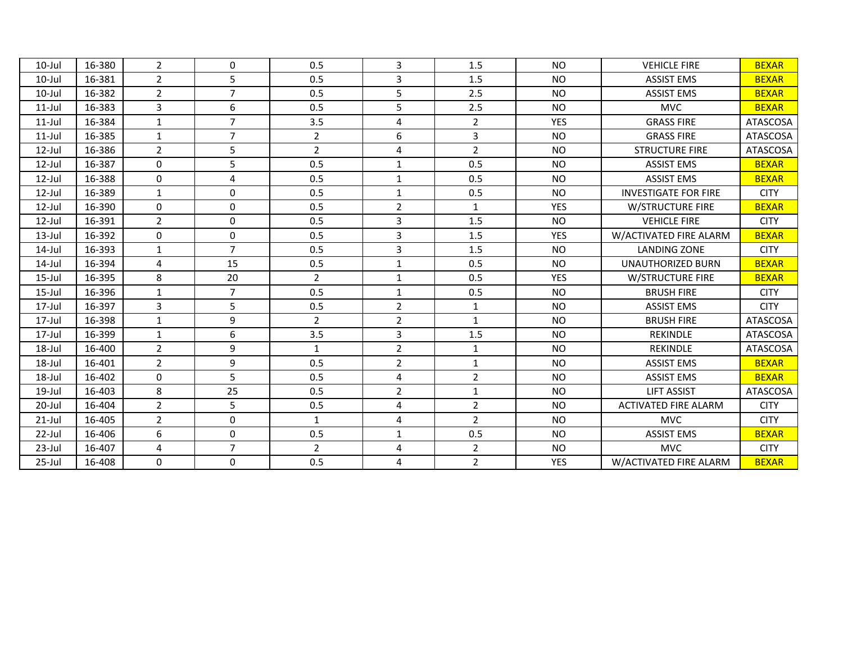| $10$ -Jul | 16-380 | $\overline{2}$ | $\Omega$       | 0.5            | 3              | 1.5            | N <sub>O</sub> | <b>VEHICLE FIRE</b>         | <b>BEXAR</b>    |
|-----------|--------|----------------|----------------|----------------|----------------|----------------|----------------|-----------------------------|-----------------|
| $10$ -Jul | 16-381 | $\overline{2}$ | 5              | 0.5            | 3              | 1.5            | <b>NO</b>      | <b>ASSIST EMS</b>           | <b>BEXAR</b>    |
| $10$ -Jul | 16-382 | $\overline{2}$ | $\overline{7}$ | 0.5            | 5              | 2.5            | <b>NO</b>      | <b>ASSIST EMS</b>           | <b>BEXAR</b>    |
| $11$ -Jul | 16-383 | 3              | 6              | 0.5            | 5              | 2.5            | <b>NO</b>      | <b>MVC</b>                  | <b>BEXAR</b>    |
| $11$ -Jul | 16-384 | $\mathbf{1}$   | $\overline{7}$ | 3.5            | 4              | $\overline{2}$ | <b>YES</b>     | <b>GRASS FIRE</b>           | <b>ATASCOSA</b> |
| $11$ -Jul | 16-385 | $\mathbf{1}$   | $\overline{7}$ | $\overline{2}$ | 6              | 3              | <b>NO</b>      | <b>GRASS FIRE</b>           | <b>ATASCOSA</b> |
| $12$ -Jul | 16-386 | $\overline{2}$ | 5              | $\overline{2}$ | 4              | $\overline{2}$ | N <sub>O</sub> | <b>STRUCTURE FIRE</b>       | <b>ATASCOSA</b> |
| $12$ -Jul | 16-387 | 0              | $5\phantom{.}$ | 0.5            | $\mathbf{1}$   | 0.5            | <b>NO</b>      | <b>ASSIST EMS</b>           | <b>BEXAR</b>    |
| $12$ -Jul | 16-388 | 0              | 4              | 0.5            | $\mathbf{1}$   | 0.5            | <b>NO</b>      | <b>ASSIST EMS</b>           | <b>BEXAR</b>    |
| $12$ -Jul | 16-389 | $\mathbf{1}$   | $\mathbf 0$    | 0.5            | $\mathbf{1}$   | 0.5            | <b>NO</b>      | <b>INVESTIGATE FOR FIRE</b> | <b>CITY</b>     |
| $12$ -Jul | 16-390 | $\Omega$       | $\mathbf 0$    | 0.5            | $\overline{2}$ | $\mathbf{1}$   | <b>YES</b>     | W/STRUCTURE FIRE            | <b>BEXAR</b>    |
| $12$ -Jul | 16-391 | $\overline{2}$ | $\Omega$       | 0.5            | 3              | 1.5            | <b>NO</b>      | <b>VEHICLE FIRE</b>         | <b>CITY</b>     |
| $13$ -Jul | 16-392 | $\Omega$       | $\mathbf 0$    | 0.5            | 3              | 1.5            | <b>YES</b>     | W/ACTIVATED FIRE ALARM      | <b>BEXAR</b>    |
| $14$ -Jul | 16-393 | $\mathbf{1}$   | $\overline{7}$ | 0.5            | $\mathsf{3}$   | 1.5            | <b>NO</b>      | <b>LANDING ZONE</b>         | <b>CITY</b>     |
| 14-Jul    | 16-394 | 4              | 15             | 0.5            | $\mathbf{1}$   | 0.5            | <b>NO</b>      | <b>UNAUTHORIZED BURN</b>    | <b>BEXAR</b>    |
| $15$ -Jul | 16-395 | 8              | 20             | $\overline{2}$ | $\mathbf{1}$   | 0.5            | <b>YES</b>     | <b>W/STRUCTURE FIRE</b>     | <b>BEXAR</b>    |
| $15$ -Jul | 16-396 | $\mathbf{1}$   | $\overline{7}$ | 0.5            | $\mathbf{1}$   | 0.5            | <b>NO</b>      | <b>BRUSH FIRE</b>           | <b>CITY</b>     |
| 17-Jul    | 16-397 | $\overline{3}$ | 5              | 0.5            | $\overline{2}$ | $\mathbf{1}$   | <b>NO</b>      | <b>ASSIST EMS</b>           | <b>CITY</b>     |
| $17$ -Jul | 16-398 | $\mathbf{1}$   | 9              | $\overline{2}$ | $\overline{2}$ | $\mathbf{1}$   | <b>NO</b>      | <b>BRUSH FIRE</b>           | <b>ATASCOSA</b> |
| $17$ -Jul | 16-399 | $\mathbf{1}$   | 6              | 3.5            | 3              | 1.5            | <b>NO</b>      | <b>REKINDLE</b>             | ATASCOSA        |
| 18-Jul    | 16-400 | $\overline{2}$ | 9              | $\mathbf{1}$   | $\overline{2}$ | $\mathbf{1}$   | <b>NO</b>      | <b>REKINDLE</b>             | <b>ATASCOSA</b> |
| 18-Jul    | 16-401 | $\overline{2}$ | 9              | 0.5            | $\overline{2}$ | $\mathbf{1}$   | <b>NO</b>      | <b>ASSIST EMS</b>           | <b>BEXAR</b>    |
| 18-Jul    | 16-402 | 0              | 5              | 0.5            | 4              | $\overline{2}$ | <b>NO</b>      | <b>ASSIST EMS</b>           | <b>BEXAR</b>    |
| 19-Jul    | 16-403 | 8              | 25             | 0.5            | $\overline{2}$ | $\mathbf{1}$   | <b>NO</b>      | <b>LIFT ASSIST</b>          | <b>ATASCOSA</b> |
| 20-Jul    | 16-404 | $\overline{2}$ | 5              | 0.5            | 4              | $\overline{2}$ | <b>NO</b>      | <b>ACTIVATED FIRE ALARM</b> | <b>CITY</b>     |
| $21$ -Jul | 16-405 | $\overline{2}$ | $\mathbf 0$    | $\mathbf{1}$   | 4              | $\overline{2}$ | <b>NO</b>      | <b>MVC</b>                  | <b>CITY</b>     |
| $22$ -Jul | 16-406 | 6              | $\mathbf 0$    | 0.5            | $\mathbf{1}$   | 0.5            | <b>NO</b>      | <b>ASSIST EMS</b>           | <b>BEXAR</b>    |
| $23$ -Jul | 16-407 | 4              | $\overline{7}$ | $\overline{2}$ | 4              | $\overline{2}$ | <b>NO</b>      | <b>MVC</b>                  | <b>CITY</b>     |
| 25-Jul    | 16-408 | $\Omega$       | $\mathbf 0$    | 0.5            | 4              | $\overline{2}$ | <b>YES</b>     | W/ACTIVATED FIRE ALARM      | <b>BEXAR</b>    |